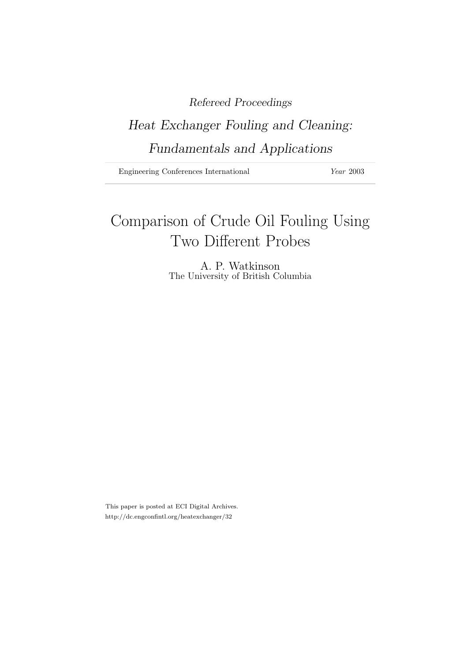# Refereed Proceedings

# Heat Exchanger Fouling and Cleaning: Fundamentals and Applications

Engineering Conferences International Year 2003

# Comparison of Crude Oil Fouling Using Two Different Probes

A. P. Watkinson The University of British Columbia

This paper is posted at ECI Digital Archives. http://dc.engconfintl.org/heatexchanger/32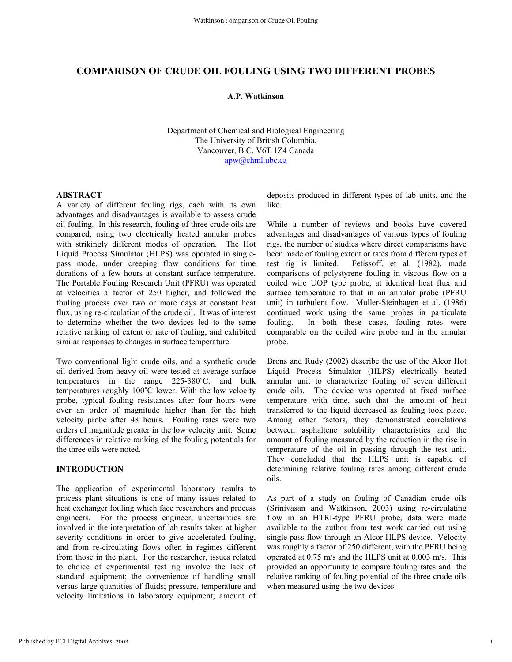# **COMPARISON OF CRUDE OIL FOULING USING TWO DIFFERENT PROBES**

# **A.P. Watkinson**

Department of Chemical and Biological Engineering The University of British Columbia, Vancouver, B.C. V6T 1Z4 Canada apw@chml.ubc.ca

#### **ABSTRACT**

A variety of different fouling rigs, each with its own advantages and disadvantages is available to assess crude oil fouling. In this research, fouling of three crude oils are compared, using two electrically heated annular probes with strikingly different modes of operation. The Hot Liquid Process Simulator (HLPS) was operated in singlepass mode, under creeping flow conditions for time durations of a few hours at constant surface temperature. The Portable Fouling Research Unit (PFRU) was operated at velocities a factor of 250 higher, and followed the fouling process over two or more days at constant heat flux, using re-circulation of the crude oil. It was of interest to determine whether the two devices led to the same relative ranking of extent or rate of fouling, and exhibited similar responses to changes in surface temperature.

Two conventional light crude oils, and a synthetic crude oil derived from heavy oil were tested at average surface temperatures in the range 225-380˚C, and bulk temperatures roughly 100˚C lower. With the low velocity probe, typical fouling resistances after four hours were over an order of magnitude higher than for the high velocity probe after 48 hours. Fouling rates were two orders of magnitude greater in the low velocity unit. Some differences in relative ranking of the fouling potentials for the three oils were noted.

# **INTRODUCTION**

The application of experimental laboratory results to process plant situations is one of many issues related to heat exchanger fouling which face researchers and process engineers. For the process engineer, uncertainties are involved in the interpretation of lab results taken at higher severity conditions in order to give accelerated fouling, and from re-circulating flows often in regimes different from those in the plant. For the researcher, issues related to choice of experimental test rig involve the lack of standard equipment; the convenience of handling small versus large quantities of fluids; pressure, temperature and velocity limitations in laboratory equipment; amount of deposits produced in different types of lab units, and the like.

While a number of reviews and books have covered advantages and disadvantages of various types of fouling rigs, the number of studies where direct comparisons have been made of fouling extent or rates from different types of test rig is limited. Fetissoff, et al. (1982), made comparisons of polystyrene fouling in viscous flow on a coiled wire UOP type probe, at identical heat flux and surface temperature to that in an annular probe (PFRU unit) in turbulent flow. Muller-Steinhagen et al. (1986) continued work using the same probes in particulate fouling. In both these cases, fouling rates were comparable on the coiled wire probe and in the annular probe.

Brons and Rudy (2002) describe the use of the Alcor Hot Liquid Process Simulator (HLPS) electrically heated annular unit to characterize fouling of seven different crude oils. The device was operated at fixed surface temperature with time, such that the amount of heat transferred to the liquid decreased as fouling took place. Among other factors, they demonstrated correlations between asphaltene solubility characteristics and the amount of fouling measured by the reduction in the rise in temperature of the oil in passing through the test unit. They concluded that the HLPS unit is capable of determining relative fouling rates among different crude oils.

As part of a study on fouling of Canadian crude oils (Srinivasan and Watkinson, 2003) using re-circulating flow in an HTRI-type PFRU probe, data were made available to the author from test work carried out using single pass flow through an Alcor HLPS device. Velocity was roughly a factor of 250 different, with the PFRU being operated at 0.75 m/s and the HLPS unit at 0.003 m/s. This provided an opportunity to compare fouling rates and the relative ranking of fouling potential of the three crude oils when measured using the two devices.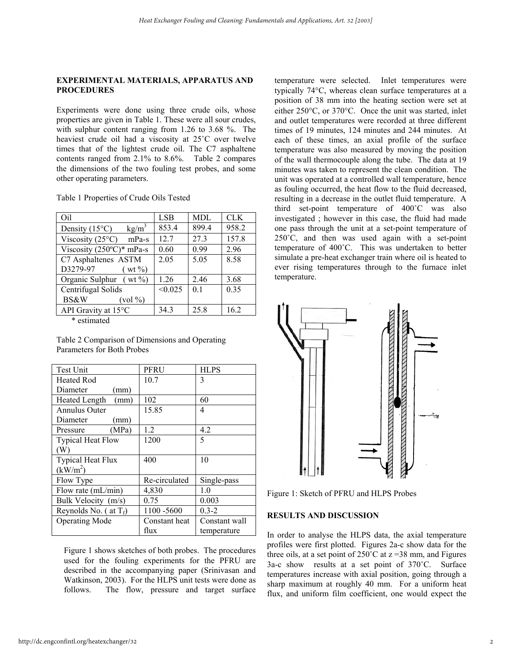# **EXPERIMENTAL MATERIALS, APPARATUS AND PROCEDURES**

Experiments were done using three crude oils, whose properties are given in Table 1. These were all sour crudes, with sulphur content ranging from 1.26 to 3.68 %. The heaviest crude oil had a viscosity at 25˚C over twelve times that of the lightest crude oil. The C7 asphaltene contents ranged from 2.1% to 8.6%. Table 2 compares the dimensions of the two fouling test probes, and some other operating parameters.

Table 1 Properties of Crude Oils Tested

| Oil                                                             | <b>LSB</b> | MDL   | <b>CLK</b> |
|-----------------------------------------------------------------|------------|-------|------------|
| kg/m <sup>3</sup><br>Density $(15^{\circ}C)$                    | 853.4      | 899.4 | 958.2      |
| Viscosity $(25^{\circ}C)$<br>$mPa-s$                            | 12.7       | 27.3  | 157.8      |
| Viscosity $(250^{\circ}C)^*$ mPa-s                              | 0.60       | 0.99  | 2.96       |
| C7 Asphaltenes ASTM                                             | 2.05       | 5.05  | 8.58       |
| D3279-97<br>$(wt\%)$                                            |            |       |            |
| Organic Sulphur (wt $\%$ )                                      | 1.26       | 2.46  | 3.68       |
| Centrifugal Solids                                              | < 0.025    | 0.1   | 0.35       |
| <b>BS&amp;W</b><br>$\left(\text{vol}\, \frac{\%}{\%}\right)$    |            |       |            |
| API Gravity at 15°C                                             | 34.3       | 25.8  | 16.2       |
| $\mathbf{a}$ and $\mathbf{a}$ and $\mathbf{a}$ and $\mathbf{a}$ |            |       |            |

\* estimated

Table 2 Comparison of Dimensions and Operating Parameters for Both Probes

| <b>Test Unit</b>         | PFRU          | HLPS          |
|--------------------------|---------------|---------------|
| <b>Heated Rod</b>        | 10.7          | 3             |
| Diameter<br>(mm)         |               |               |
| Heated Length<br>(mm)    | 102           | 60            |
| Annulus Outer            | 15.85         | 4             |
| Diameter<br>(mm)         |               |               |
| (MPa)<br>Pressure        | 1.2           | 4.2           |
| <b>Typical Heat Flow</b> | 1200          | 5             |
| (W)                      |               |               |
| <b>Typical Heat Flux</b> | 400           | 10            |
| (kW/m <sup>2</sup> )     |               |               |
| Flow Type                | Re-circulated | Single-pass   |
| Flow rate (mL/min)       | 4,830         | 1.0           |
| Bulk Velocity (m/s)      | 0.75          | 0.003         |
| Reynolds No. (at $T_f$ ) | 1100 - 5600   | $0.3 - 2$     |
| <b>Operating Mode</b>    | Constant heat | Constant wall |
|                          | flux          | temperature   |

Figure 1 shows sketches of both probes. The procedures used for the fouling experiments for the PFRU are described in the accompanying paper (Srinivasan and Watkinson, 2003). For the HLPS unit tests were done as follows. The flow, pressure and target surface

temperature were selected. Inlet temperatures were typically 74°C, whereas clean surface temperatures at a position of 38 mm into the heating section were set at either 250°C, or 370°C. Once the unit was started, inlet and outlet temperatures were recorded at three different times of 19 minutes, 124 minutes and 244 minutes. At each of these times, an axial profile of the surface temperature was also measured by moving the position of the wall thermocouple along the tube. The data at 19 minutes was taken to represent the clean condition. The unit was operated at a controlled wall temperature, hence as fouling occurred, the heat flow to the fluid decreased, resulting in a decrease in the outlet fluid temperature. A third set-point temperature of 400˚C was also investigated ; however in this case, the fluid had made one pass through the unit at a set-point temperature of  $250^{\circ}$ C, and then was used again with a set-point temperature of 400˚C. This was undertaken to better simulate a pre-heat exchanger train where oil is heated to ever rising temperatures through to the furnace inlet temperature.



Figure 1: Sketch of PFRU and HLPS Probes

# **RESULTS AND DISCUSSION**

In order to analyse the HLPS data, the axial temperature profiles were first plotted. Figures 2a-c show data for the three oils, at a set point of  $250^{\circ}$ C at  $z = 38$  mm, and Figures 3a-c show results at a set point of 370˚C. Surface temperatures increase with axial position, going through a sharp maximum at roughly 40 mm. For a uniform heat flux, and uniform film coefficient, one would expect the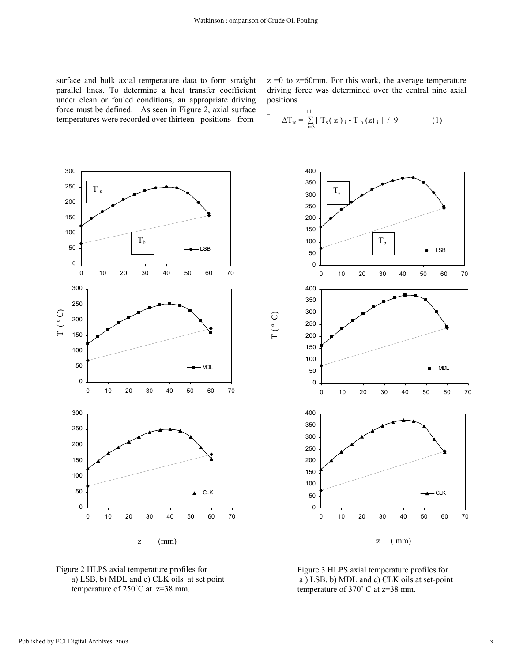$\Gamma$  (  $^{\circ}$  C)

surface and bulk axial temperature data to form straight parallel lines. To determine a heat transfer coefficient under clean or fouled conditions, an appropriate driving force must be defined. As seen in Figure 2, axial surface temperatures were recorded over thirteen positions from

 $z = 0$  to  $z = 60$  mm. For this work, the average temperature driving force was determined over the central nine axial positions

$$
-\Delta T_m = \sum_{i=3}^{11} [\ T_s(z)_i - T_b(z)_i ] / 9 \qquad (1)
$$







Figure 3 HLPS axial temperature profiles for a ) LSB, b) MDL and c) CLK oils at set-point temperature of 370˚ C at z=38 mm.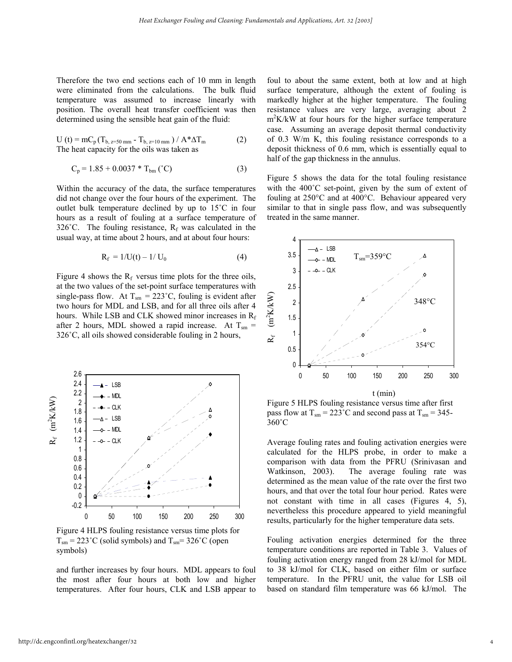Therefore the two end sections each of 10 mm in length were eliminated from the calculations. The bulk fluid temperature was assumed to increase linearly with position. The overall heat transfer coefficient was then determined using the sensible heat gain of the fluid:

$$
U(t) = mC_p(T_{b, z=50 \text{ mm}} - T_{b, z=10 \text{ mm}}) / A^* \Delta T_m
$$
 (2)  
The heat capacity for the oils was taken as

$$
C_p = 1.85 + 0.0037 * T_{bm} (°C)
$$
 (3)

Within the accuracy of the data, the surface temperatures did not change over the four hours of the experiment. The outlet bulk temperature declined by up to 15˚C in four hours as a result of fouling at a surface temperature of 326°C. The fouling resistance,  $R_f$  was calculated in the usual way, at time about 2 hours, and at about four hours:

$$
R_f = 1/U(t) - 1/U_0 \tag{4}
$$

Figure 4 shows the  $R_f$  versus time plots for the three oils, at the two values of the set-point surface temperatures with single-pass flow. At  $T_{\text{sm}} = 223^{\circ}$ C, fouling is evident after two hours for MDL and LSB, and for all three oils after 4 hours. While LSB and CLK showed minor increases in  $R_f$ after 2 hours, MDL showed a rapid increase. At  $T_{\rm sm}$  = 326˚C, all oils showed considerable fouling in 2 hours,



Figure 4 HLPS fouling resistance versus time plots for  $T_{\rm sm}$  = 223°C (solid symbols) and  $T_{\rm sm}$  = 326°C (open symbols)

and further increases by four hours. MDL appears to foul the most after four hours at both low and higher temperatures. After four hours, CLK and LSB appear to

foul to about the same extent, both at low and at high surface temperature, although the extent of fouling is markedly higher at the higher temperature. The fouling resistance values are very large, averaging about 2 m<sup>2</sup>K/kW at four hours for the higher surface temperature case. Assuming an average deposit thermal conductivity of 0.3 W/m K, this fouling resistance corresponds to a deposit thickness of 0.6 mm, which is essentially equal to half of the gap thickness in the annulus.

Figure 5 shows the data for the total fouling resistance with the  $400^{\circ}$ C set-point, given by the sum of extent of fouling at 250°C and at 400°C. Behaviour appeared very similar to that in single pass flow, and was subsequently treated in the same manner.



Figure 5 HLPS fouling resistance versus time after first pass flow at  $T_{\rm sm} = 223 \degree C$  and second pass at  $T_{\rm sm} = 345 -$ 360˚C

Average fouling rates and fouling activation energies were calculated for the HLPS probe, in order to make a comparison with data from the PFRU (Srinivasan and Watkinson, 2003). The average fouling rate was determined as the mean value of the rate over the first two hours, and that over the total four hour period. Rates were not constant with time in all cases (Figures 4, 5), nevertheless this procedure appeared to yield meaningful results, particularly for the higher temperature data sets.

Fouling activation energies determined for the three temperature conditions are reported in Table 3. Values of fouling activation energy ranged from 28 kJ/mol for MDL to 38 kJ/mol for CLK, based on either film or surface temperature. In the PFRU unit, the value for LSB oil based on standard film temperature was 66 kJ/mol. The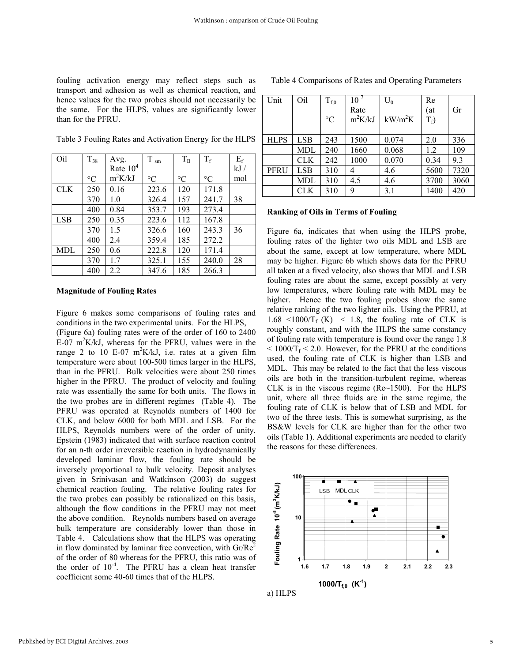fouling activation energy may reflect steps such as transport and adhesion as well as chemical reaction, and hence values for the two probes should not necessarily be the same. For the HLPS, values are significantly lower than for the PFRU.

Table 3 Fouling Rates and Activation Energy for the HLPS

| Oil        | $T_{38}$        | Avg.       | $T$ $_{\rm sm}$ | $T_B$           | $T_f$           | $E_f$ |
|------------|-----------------|------------|-----------------|-----------------|-----------------|-------|
|            |                 | Rate $104$ |                 |                 |                 | kJ/   |
|            | $\rm ^{\circ}C$ | $m^2K/kJ$  | $\rm ^{\circ}C$ | $\rm ^{\circ}C$ | $\rm ^{\circ}C$ | mol   |
| <b>CLK</b> | 250             | 0.16       | 223.6           | 120             | 171.8           |       |
|            | 370             | 1.0        | 326.4           | 157             | 241.7           | 38    |
|            | 400             | 0.84       | 353.7           | 193             | 273.4           |       |
| <b>LSB</b> | 250             | 0.35       | 223.6           | 112             | 167.8           |       |
|            | 370             | 1.5        | 326.6           | 160             | 243.3           | 36    |
|            | 400             | 2.4        | 359.4           | 185             | 272.2           |       |
| <b>MDL</b> | 250             | 0.6        | 222.8           | 120             | 171.4           |       |
|            | 370             | 1.7        | 325.1           | 155             | 240.0           | 28    |
|            | 400             | 2.2        | 347.6           | 185             | 266.3           |       |

#### **Magnitude of Fouling Rates**

Figure 6 makes some comparisons of fouling rates and conditions in the two experimental units. For the HLPS,

(Figure 6a) fouling rates were of the order of 160 to 2400  $E-07$  m<sup>2</sup>K/kJ, whereas for the PFRU, values were in the range 2 to 10 E-07  $m^2K/kJ$ , i.e. rates at a given film temperature were about 100-500 times larger in the HLPS, than in the PFRU. Bulk velocities were about 250 times higher in the PFRU. The product of velocity and fouling rate was essentially the same for both units. The flows in the two probes are in different regimes (Table 4). The PFRU was operated at Reynolds numbers of 1400 for CLK, and below 6000 for both MDL and LSB. For the HLPS, Reynolds numbers were of the order of unity. Epstein (1983) indicated that with surface reaction control for an n-th order irreversible reaction in hydrodynamically developed laminar flow, the fouling rate should be inversely proportional to bulk velocity. Deposit analyses given in Srinivasan and Watkinson (2003) do suggest chemical reaction fouling. The relative fouling rates for the two probes can possibly be rationalized on this basis, although the flow conditions in the PFRU may not meet the above condition. Reynolds numbers based on average bulk temperature are considerably lower than those in Table 4. Calculations show that the HLPS was operating in flow dominated by laminar free convection, with  $Gr/Re^2$ of the order of 80 whereas for the PFRU, this ratio was of the order of  $10^{-4}$ . The PFRU has a clean heat transfer coefficient some 40-60 times that of the HLPS.

| Unit        | Oil | $T_{f,0}$<br>$\rm ^{\circ}C$ | 10 <sup>7</sup><br>Rate<br>$m^2K/kJ$ | $U_0$<br>$kW/m^2K$ | Re<br>(at)<br>$T_f$ ) | Gr   |
|-------------|-----|------------------------------|--------------------------------------|--------------------|-----------------------|------|
| <b>HLPS</b> | LSB | 243                          | 1500                                 | 0.074              | 2.0                   | 336  |
|             | MDL | 240                          | 1660                                 | 0.068              | 1.2                   | 109  |
|             | CLK | 242                          | 1000                                 | 0.070              | 0.34                  | 9.3  |
| <b>PFRU</b> | LSB | 310                          | 4                                    | 4.6                | 5600                  | 7320 |
|             | MDL | 310                          | 4.5                                  | 4.6                | 3700                  | 3060 |
|             | CLK | 310                          | 9                                    | 3.1                | 1400                  | 420  |

Table 4 Comparisons of Rates and Operating Parameters

# **Ranking of Oils in Terms of Fouling**

Figure 6a, indicates that when using the HLPS probe, fouling rates of the lighter two oils MDL and LSB are about the same, except at low temperature, where MDL may be higher. Figure 6b which shows data for the PFRU all taken at a fixed velocity, also shows that MDL and LSB fouling rates are about the same, except possibly at very low temperatures, where fouling rate with MDL may be higher. Hence the two fouling probes show the same relative ranking of the two lighter oils. Using the PFRU, at  $1.68 \le 1000/T_f$  (K)  $\le 1.8$ , the fouling rate of CLK is roughly constant, and with the HLPS the same constancy of fouling rate with temperature is found over the range 1.8  $< 1000/T_f < 2.0$ . However, for the PFRU at the conditions used, the fouling rate of CLK is higher than LSB and MDL. This may be related to the fact that the less viscous oils are both in the transition-turbulent regime, whereas CLK is in the viscous regime (Re~1500). For the HLPS unit, where all three fluids are in the same regime, the fouling rate of CLK is below that of LSB and MDL for two of the three tests. This is somewhat surprising, as the BS&W levels for CLK are higher than for the other two oils (Table 1). Additional experiments are needed to clarify the reasons for these differences.



a) HLPS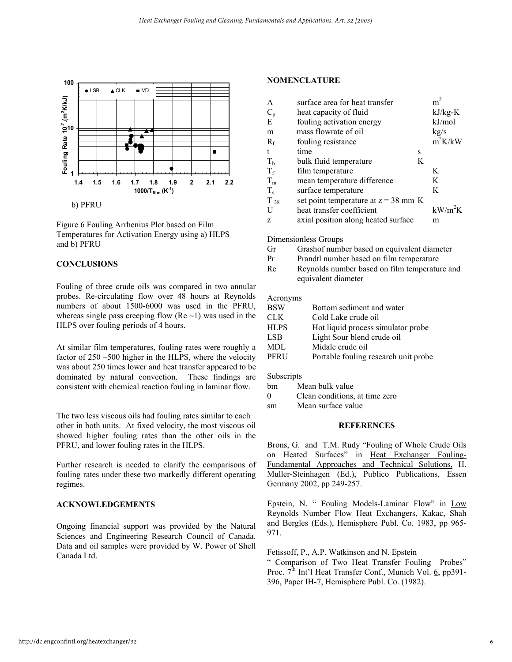

Figure 6 Fouling Arrhenius Plot based on Film Temperatures for Activation Energy using a) HLPS and b) PFRU

## **CONCLUSIONS**

Fouling of three crude oils was compared in two annular probes. Re-circulating flow over 48 hours at Reynolds numbers of about 1500-6000 was used in the PFRU, whereas single pass creeping flow (Re  $\sim$ 1) was used in the HLPS over fouling periods of 4 hours.

At similar film temperatures, fouling rates were roughly a factor of 250 –500 higher in the HLPS, where the velocity was about 250 times lower and heat transfer appeared to be dominated by natural convection. These findings are consistent with chemical reaction fouling in laminar flow.

The two less viscous oils had fouling rates similar to each other in both units. At fixed velocity, the most viscous oil showed higher fouling rates than the other oils in the PFRU, and lower fouling rates in the HLPS.

Further research is needed to clarify the comparisons of fouling rates under these two markedly different operating regimes.

## **ACKNOWLEDGEMENTS**

Ongoing financial support was provided by the Natural Sciences and Engineering Research Council of Canada. Data and oil samples were provided by W. Power of Shell Canada Ltd.

#### **NOMENCLATURE**

| surface area for heat transfer      |   | m <sup>2</sup>                         |
|-------------------------------------|---|----------------------------------------|
| heat capacity of fluid              |   | $kJ/kg-K$                              |
| fouling activation energy           |   | kJ/mol                                 |
| mass flowrate of oil                |   | kg/s                                   |
| fouling resistance                  |   | $m^2K/kW$                              |
| time                                | S |                                        |
| bulk fluid temperature              | K |                                        |
| film temperature                    |   | K                                      |
| mean temperature difference         |   | K                                      |
| surface temperature                 |   | K                                      |
|                                     |   |                                        |
| heat transfer coefficient           |   | $kW/m^2K$                              |
| axial position along heated surface |   | m                                      |
|                                     |   | set point temperature at $z = 38$ mm K |

Dimensionless Groups

- Gr Grashof number based on equivalent diameter
- Pr Prandtl number based on film temperature
- Re Reynolds number based on film temperature and equivalent diameter

## Acronyms

| <b>BSW</b>  | Bottom sediment and water            |
|-------------|--------------------------------------|
| CLK.        | Cold Lake crude oil                  |
| <b>HLPS</b> | Hot liquid process simulator probe   |
| LSB         | Light Sour blend crude oil           |
| MDL         | Midale crude oil                     |
| PFRU        | Portable fouling research unit probe |

Subscripts

- bm Mean bulk value
- 0 Clean conditions, at time zero
- sm Mean surface value

#### **REFERENCES**

Brons, G. and T.M. Rudy "Fouling of Whole Crude Oils on Heated Surfaces" in Heat Exchanger Fouling-Fundamental Approaches and Technical Solutions, H. Muller-Steinhagen (Ed.), Publico Publications, Essen Germany 2002, pp 249-257.

Epstein, N. " Fouling Models-Laminar Flow" in Low Reynolds Number Flow Heat Exchangers, Kakac, Shah and Bergles (Eds.), Hemisphere Publ. Co. 1983, pp 965- 971.

Fetissoff, P., A.P. Watkinson and N. Epstein " Comparison of Two Heat Transfer Fouling Probes" Proc.  $7<sup>th</sup>$  Int'l Heat Transfer Conf., Munich Vol. 6, pp391-396, Paper IH-7, Hemisphere Publ. Co. (1982).